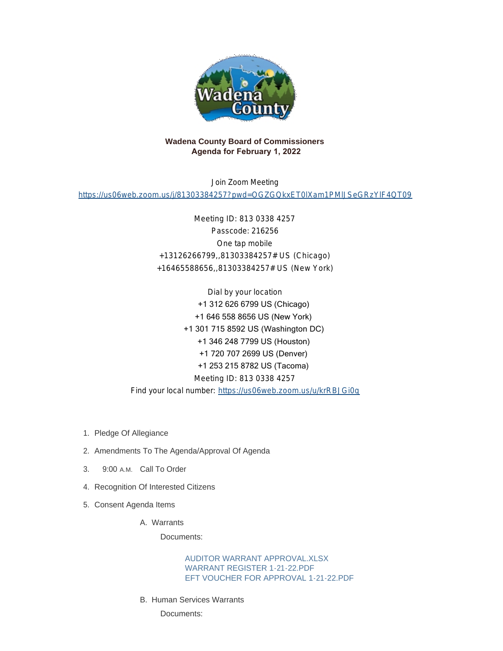

# **Wadena County Board of Commissioners Agenda for February 1, 2022**

Join Zoom Meeting

<https://us06web.zoom.us/j/81303384257?pwd=OGZGQkxET0lXam1PMlJSeGRzYlF4QT09>

Meeting ID: 813 0338 4257 Passcode: 216256 One tap mobile +13126266799,,81303384257# US (Chicago) +16465588656,,81303384257# US (New York)

Dial by your location +1 312 626 6799 US (Chicago) +1 646 558 8656 US (New York) +1 301 715 8592 US (Washington DC) +1 346 248 7799 US (Houston) +1 720 707 2699 US (Denver) +1 253 215 8782 US (Tacoma) Meeting ID: 813 0338 4257 Find your local number: <https://us06web.zoom.us/u/krRBJGi0q>

- 1. Pledge Of Allegiance
- 2. Amendments To The Agenda/Approval Of Agenda
- 3. 9:00 A.M. Call To Order
- 4. Recognition Of Interested Citizens
- 5. Consent Agenda Items
	- Warrants A.

Documents:

AUDITOR WARRANT APPROVAL XLSX [WARRANT REGISTER 1-21-22.PDF](http://mn-wadenacounty.civicplus.com/AgendaCenter/ViewFile/Item/4722?fileID=7029) [EFT VOUCHER FOR APPROVAL 1-21-22.PDF](http://mn-wadenacounty.civicplus.com/AgendaCenter/ViewFile/Item/4722?fileID=7030)

B. Human Services Warrants

Documents: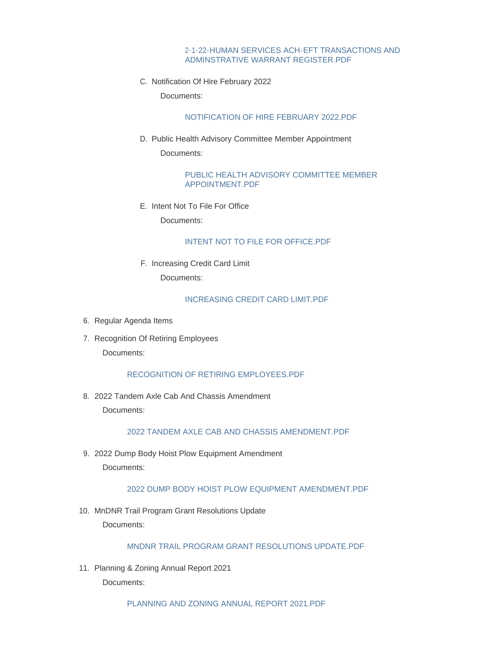### [2-1-22-HUMAN SERVICES ACH-EFT TRANSACTIONS AND](http://mn-wadenacounty.civicplus.com/AgendaCenter/ViewFile/Item/4723?fileID=7031)  ADMINSTRATIVE WARRANT REGISTER.PDF

C. Notification Of Hire February 2022

Documents:

[NOTIFICATION OF HIRE FEBRUARY 2022.PDF](http://mn-wadenacounty.civicplus.com/AgendaCenter/ViewFile/Item/4729?fileID=7037)

D. Public Health Advisory Committee Member Appointment Documents:

> [PUBLIC HEALTH ADVISORY COMMITTEE MEMBER](http://mn-wadenacounty.civicplus.com/AgendaCenter/ViewFile/Item/4735?fileID=7043)  APPOINTMENT.PDF

E. Intent Not To File For Office

Documents:

## [INTENT NOT TO FILE FOR OFFICE.PDF](http://mn-wadenacounty.civicplus.com/AgendaCenter/ViewFile/Item/4728?fileID=7036)

F. Increasing Credit Card Limit

Documents:

[INCREASING CREDIT CARD LIMIT.PDF](http://mn-wadenacounty.civicplus.com/AgendaCenter/ViewFile/Item/4734?fileID=7042)

- 6. Regular Agenda Items
- 7. Recognition Of Retiring Employees Documents:

[RECOGNITION OF RETIRING EMPLOYEES.PDF](http://mn-wadenacounty.civicplus.com/AgendaCenter/ViewFile/Item/4731?fileID=7039)

2022 Tandem Axle Cab And Chassis Amendment 8. Documents:

#### [2022 TANDEM AXLE CAB AND CHASSIS AMENDMENT.PDF](http://mn-wadenacounty.civicplus.com/AgendaCenter/ViewFile/Item/4725?fileID=7033)

9. 2022 Dump Body Hoist Plow Equipment Amendment Documents:

## [2022 DUMP BODY HOIST PLOW EQUIPMENT AMENDMENT.PDF](http://mn-wadenacounty.civicplus.com/AgendaCenter/ViewFile/Item/4726?fileID=7034)

10. MnDNR Trail Program Grant Resolutions Update Documents:

[MNDNR TRAIL PROGRAM GRANT RESOLUTIONS UPDATE.PDF](http://mn-wadenacounty.civicplus.com/AgendaCenter/ViewFile/Item/4721?fileID=7027)

11. Planning & Zoning Annual Report 2021 Documents:

[PLANNING AND ZONING ANNUAL REPORT 2021.PDF](http://mn-wadenacounty.civicplus.com/AgendaCenter/ViewFile/Item/4727?fileID=7035)